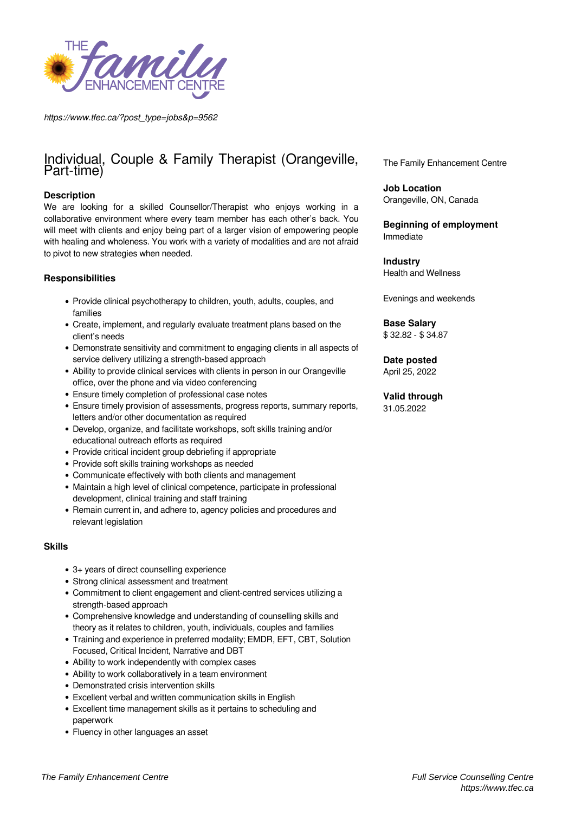

*https://www.tfec.ca/?post\_type=jobs&p=9562*

# Individual, Couple & Family Therapist (Orangeville, Part-time)

## **Description**

We are looking for a skilled Counsellor/Therapist who enjoys working in a collaborative environment where every team member has each other's back. You will meet with clients and enjoy being part of a larger vision of empowering people with healing and wholeness. You work with a variety of modalities and are not afraid to pivot to new strategies when needed.

## **Responsibilities**

- Provide clinical psychotherapy to children, youth, adults, couples, and families
- Create, implement, and regularly evaluate treatment plans based on the client's needs
- Demonstrate sensitivity and commitment to engaging clients in all aspects of service delivery utilizing a strength-based approach
- Ability to provide clinical services with clients in person in our Orangeville office, over the phone and via video conferencing
- Ensure timely completion of professional case notes
- Ensure timely provision of assessments, progress reports, summary reports, letters and/or other documentation as required
- Develop, organize, and facilitate workshops, soft skills training and/or educational outreach efforts as required
- Provide critical incident group debriefing if appropriate
- Provide soft skills training workshops as needed
- Communicate effectively with both clients and management
- Maintain a high level of clinical competence, participate in professional development, clinical training and staff training
- Remain current in, and adhere to, agency policies and procedures and relevant legislation

## **Skills**

- 3+ years of direct counselling experience
- Strong clinical assessment and treatment
- Commitment to client engagement and client-centred services utilizing a strength-based approach
- Comprehensive knowledge and understanding of counselling skills and theory as it relates to children, youth, individuals, couples and families
- Training and experience in preferred modality; EMDR, EFT, CBT, Solution Focused, Critical Incident, Narrative and DBT
- Ability to work independently with complex cases
- Ability to work collaboratively in a team environment
- Demonstrated crisis intervention skills
- Excellent verbal and written communication skills in English
- Excellent time management skills as it pertains to scheduling and paperwork
- Fluency in other languages an asset

The Family Enhancement Centre

**Job Location** Orangeville, ON, Canada

**Beginning of employment** Immediate

**Industry** Health and Wellness

Evenings and weekends

**Base Salary** \$ 32.82 - \$ 34.87

**Date posted**

April 25, 2022

**Valid through** 31.05.2022